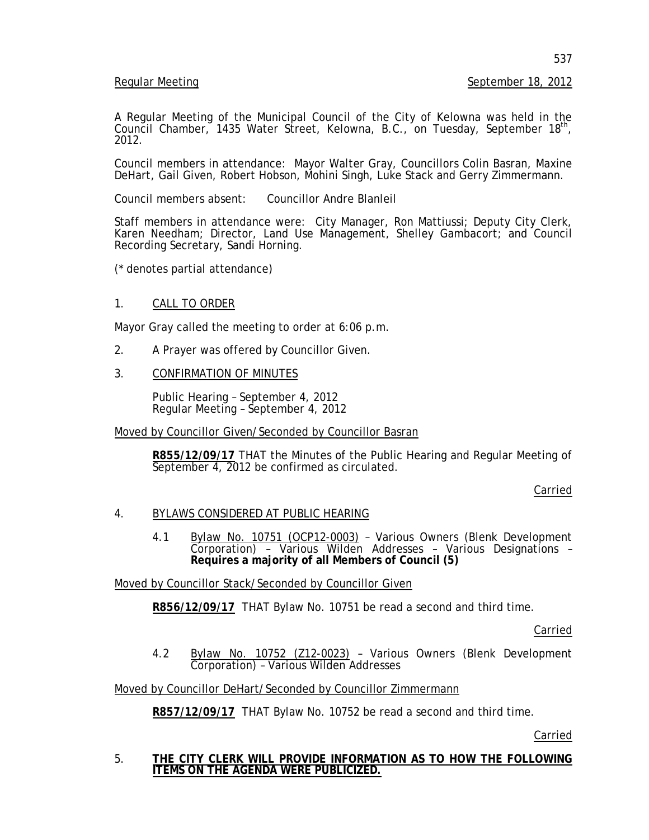## Regular Meeting September 18, 2012

A Regular Meeting of the Municipal Council of the City of Kelowna was held in the Council Chamber, 1435 Water Street, Kelowna, B.C., on Tuesday, September 18<sup>th</sup>,<br>2012.

Council members in attendance: Mayor Walter Gray, Councillors Colin Basran, Maxine DeHart, Gail Given, Robert Hobson, Mohini Singh, Luke Stack and Gerry Zimmermann.

Council members absent: Councillor Andre Blanleil

Staff members in attendance were: City Manager, Ron Mattiussi; Deputy City Clerk, Karen Needham; Director, Land Use Management, Shelley Gambacort; and Council Recording Secretary, Sandi Horning.

(\* denotes partial attendance)

# 1. CALL TO ORDER

Mayor Gray called the meeting to order at 6:06 p.m.

- 2. A Prayer was offered by Councillor Given.
- 3. CONFIRMATION OF MINUTES

Public Hearing – September 4, 2012 Regular Meeting – September 4, 2012

Moved by Councillor Given/Seconded by Councillor Basran

**R855/12/09/17** THAT the Minutes of the Public Hearing and Regular Meeting of September 4, 2012 be confirmed as circulated.

Carried

#### 4. BYLAWS CONSIDERED AT PUBLIC HEARING

4.1 Bylaw No. 10751 (OCP12-0003) - Various Owners (Blenk Development Corporation) – Various Wilden Addresses – Various Designations – **Requires a majority of all Members of Council (5)**

Moved by Councillor Stack/Seconded by Councillor Given

**R856/12/09/17** THAT Bylaw No. 10751 be read a second and third time.

Carried

4.2 Bylaw No. 10752 (Z12-0023) – Various Owners (Blenk Development Corporation) – Various Wilden Addresses

Moved by Councillor DeHart/Seconded by Councillor Zimmermann

**R857/12/09/17** THAT Bylaw No. 10752 be read a second and third time.

Carried

5. **THE CITY CLERK WILL PROVIDE INFORMATION AS TO HOW THE FOLLOWING ITEMS ON THE AGENDA WERE PUBLICIZED.**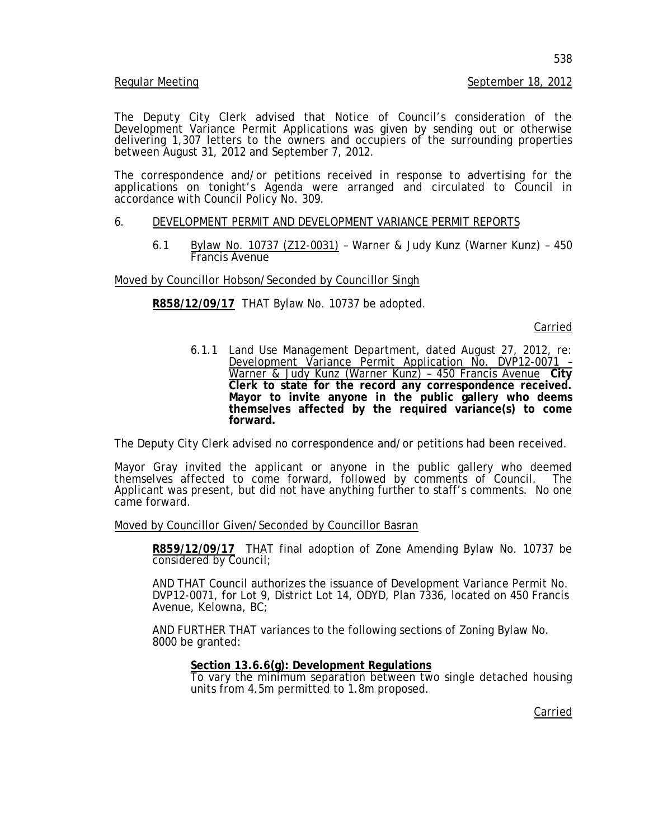#### Regular Meeting September 18, 2012

The Deputy City Clerk advised that Notice of Council's consideration of the Development Variance Permit Applications was given by sending out or otherwise delivering 1,307 letters to the owners and occupiers of the surrounding properties between August 31, 2012 and September 7, 2012.

The correspondence and/or petitions received in response to advertising for the applications on tonight's Agenda were arranged and circulated to Council in accordance with Council Policy No. 309.

### 6. DEVELOPMENT PERMIT AND DEVELOPMENT VARIANCE PERMIT REPORTS

6.1 Bylaw No. 10737 (Z12-0031) – Warner & Judy Kunz (Warner Kunz) – 450 Francis Avenue

Moved by Councillor Hobson/Seconded by Councillor Singh

# **R858/12/09/17** THAT Bylaw No. 10737 be adopted.

Carried

6.1.1 Land Use Management Department, dated August 27, 2012, re: Development Variance Permit Application No. DVP12-0071 – Warner & Judy Kunz (Warner Kunz) – 450 Francis Avenue **City Clerk to state for the record any correspondence received. Mayor to invite anyone in the public gallery who deems themselves affected by the required variance(s) to come forward.**

The Deputy City Clerk advised no correspondence and/or petitions had been received.

Mayor Gray invited the applicant or anyone in the public gallery who deemed themselves affected to come forward, followed by comments of Council. The themselves affected to come forward, followed by comments of Council. The Applicant was present, but did not have anything further to staff's comments. No one came forward.

Moved by Councillor Given/Seconded by Councillor Basran

**R859/12/09/17** THAT final adoption of Zone Amending Bylaw No. 10737 be considered by Council;

AND THAT Council authorizes the issuance of Development Variance Permit No. DVP12-0071, for Lot 9, District Lot 14, ODYD, Plan 7336, located on 450 Francis Avenue, Kelowna, BC;

AND FURTHER THAT variances to the following sections of Zoning Bylaw No. 8000 be granted:

#### **Section 13.6.6(g): Development Regulations**

To vary the minimum separation between two single detached housing units from 4.5m permitted to 1.8m proposed.

Carried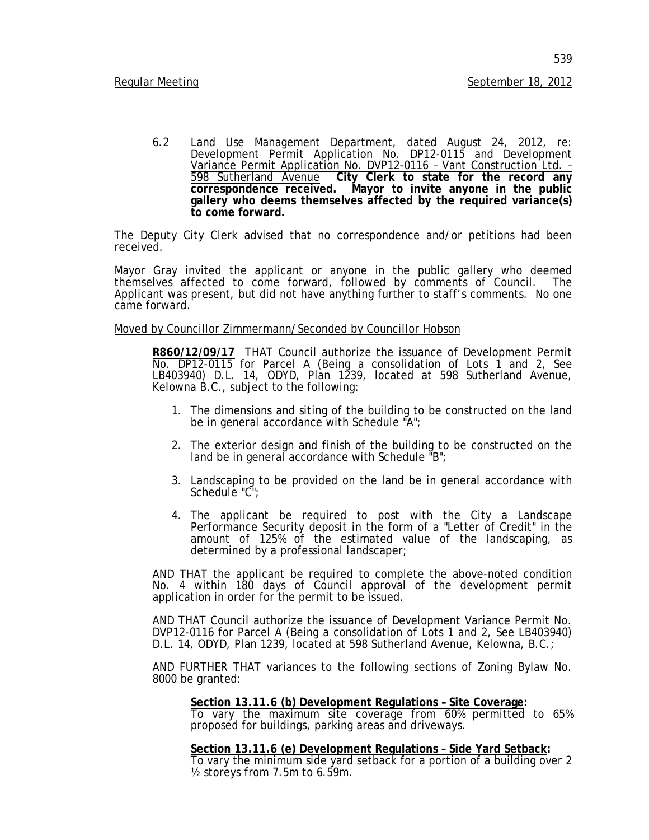6.2 Land Use Management Department, dated August 24, 2012, re: Development Permit Application No. DP12-0115 and Development Variance Permit Application No. DVP12-0116 - Vant Construction Ltd. - $\overline{598}$  Sutherland Avenue City Clerk to state for the record any **correspondence received. Mayor to invite anyone in the public gallery who deems themselves affected by the required variance(s) to come forward.**

The Deputy City Clerk advised that no correspondence and/or petitions had been received.

Mayor Gray invited the applicant or anyone in the public gallery who deemed themselves affected to come forward, followed by comments of Council. The Applicant was present, but did not have anything further to staff's comments. No one came forward.

Moved by Councillor Zimmermann/Seconded by Councillor Hobson

**R860/12/09/17** THAT Council authorize the issuance of Development Permit No. DP12-0115 for Parcel A (Being a consolidation of Lots 1 and 2, See LB403940) D.L. 14, ODYD, Plan 1239, located at 598 Sutherland Avenue, Kelowna B.C., subject to the following:

- 1. The dimensions and siting of the building to be constructed on the land be in general accordance with Schedule "A";
- 2. The exterior design and finish of the building to be constructed on the land be in general accordance with Schedule "B";
- 3. Landscaping to be provided on the land be in general accordance with Schedule "C";
- 4. The applicant be required to post with the City a Landscape Performance Security deposit in the form of a "Letter of Credit" in the amount of 125% of the estimated value of the landscaping, as determined by a professional landscaper;

AND THAT the applicant be required to complete the above-noted condition No. 4 within 180 days of Council approval of the development permit application in order for the permit to be issued.

AND THAT Council authorize the issuance of Development Variance Permit No. DVP12-0116 for Parcel A (Being a consolidation of Lots 1 and 2, See LB403940) D.L. 14, ODYD, Plan 1239, located at 598 Sutherland Avenue, Kelowna, B.C.;

AND FURTHER THAT variances to the following sections of Zoning Bylaw No. 8000 be granted:

#### **Section 13.11.6 (b) Development Regulations – Site Coverage:**

To vary the maximum site coverage from 60% permitted to 65% proposed for buildings, parking areas and driveways.

**Section 13.11.6 (e) Development Regulations – Side Yard Setback:** To vary the minimum side yard setback for a portion of a building over 2 ½ storeys from 7.5m to 6.59m.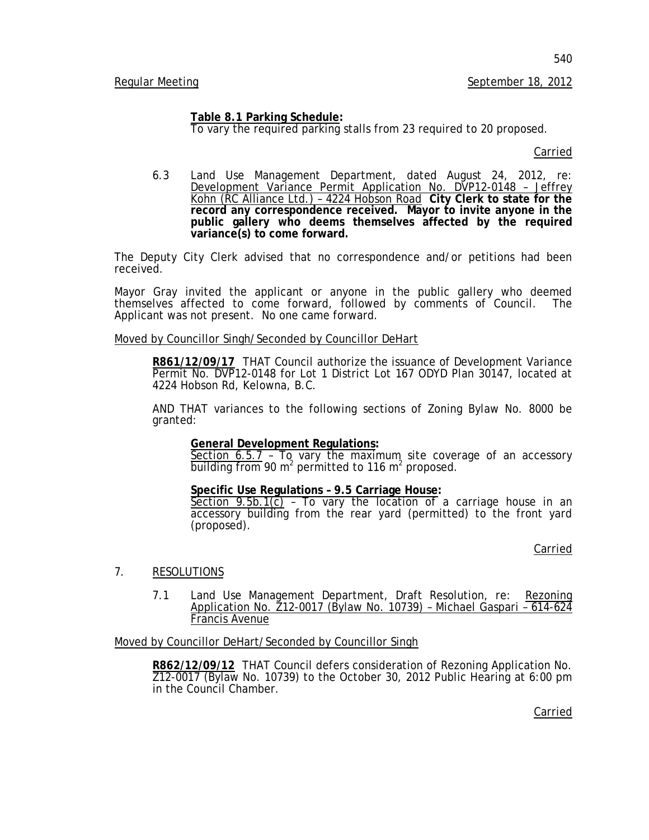**Table 8.1 Parking Schedule:**

To vary the required parking stalls from 23 required to 20 proposed.

Carried

6.3 Land Use Management Department, dated August 24, 2012, re: Development Variance Permit Application No. DVP12-0148 – Jeffrey Kohn (RC Alliance Ltd.) – 4224 Hobson Road **City Clerk to state for the record any correspondence received. Mayor to invite anyone in the public gallery who deems themselves affected by the required variance(s) to come forward.**

The Deputy City Clerk advised that no correspondence and/or petitions had been received.

Mayor Gray invited the applicant or anyone in the public gallery who deemed themselves affected to come forward, followed by comments of Council. The themselves affected to come forward, followed by comments of Council. Applicant was not present. No one came forward.

Moved by Councillor Singh/Seconded by Councillor DeHart

**R861/12/09/17** THAT Council authorize the issuance of Development Variance Permit No. DVP12-0148 for Lot 1 District Lot 167 ODYD Plan 30147, located at 4224 Hobson Rd, Kelowna, B.C.

AND THAT variances to the following sections of Zoning Bylaw No. 8000 be granted:

# **General Development Regulations:**

Section  $6.5.7 - T_9$  vary the maximum site coverage of an accessory building from 90  $m^2$  permitted to 116  $m^2$  proposed.

# **Specific Use Regulations – 9.5 Carriage House:**

 $Section 9.5b.1(c)$  - To vary the location of a carriage house in an accessory building from the rear yard (permitted) to the front yard (proposed).

Carried

- 7. RESOLUTIONS
	- 7.1 Land Use Management Department, Draft Resolution, re: Rezoning Application No. Z12-0017 (Bylaw No. 10739) – Michael Gaspari – 614-624 Francis Avenue

Moved by Councillor DeHart/Seconded by Councillor Singh

**R862/12/09/12** THAT Council defers consideration of Rezoning Application No. Z12-0017 (Bylaw No. 10739) to the October 30, 2012 Public Hearing at 6:00 pm in the Council Chamber.

Carried